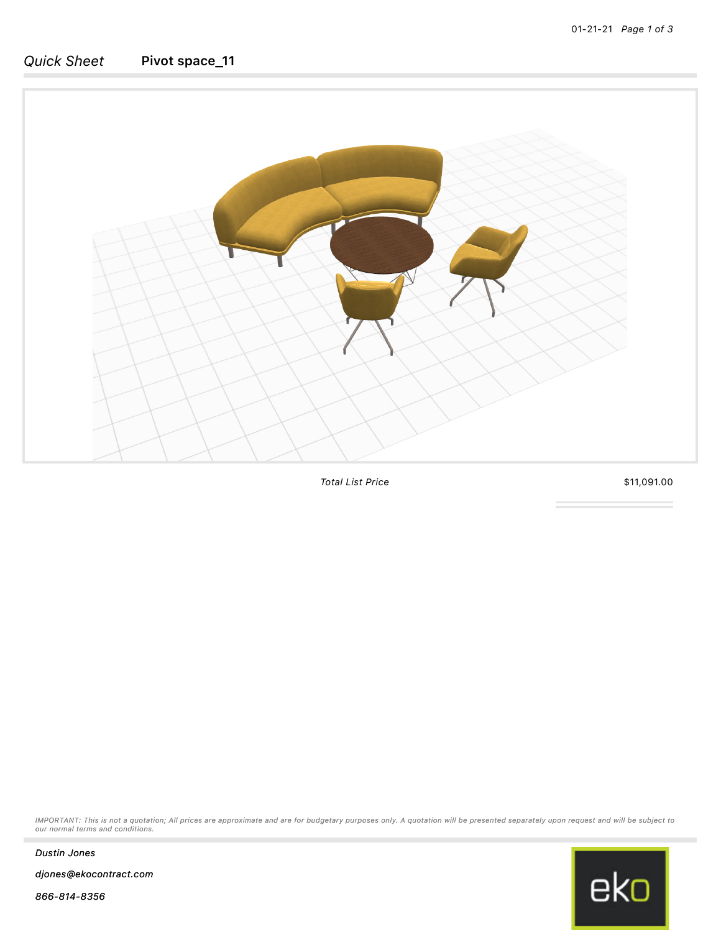## *Quick Sheet* Pivot space\_11



*Total List Price* \$11,091.00

*IMPORTANT: This is not a quotation; All prices are approximate and are for budgetary purposes only. A quotation will be presented separately upon request and will be subject to our normal terms and conditions.*



*Dustin Jones*

*djones@ekocontract.com*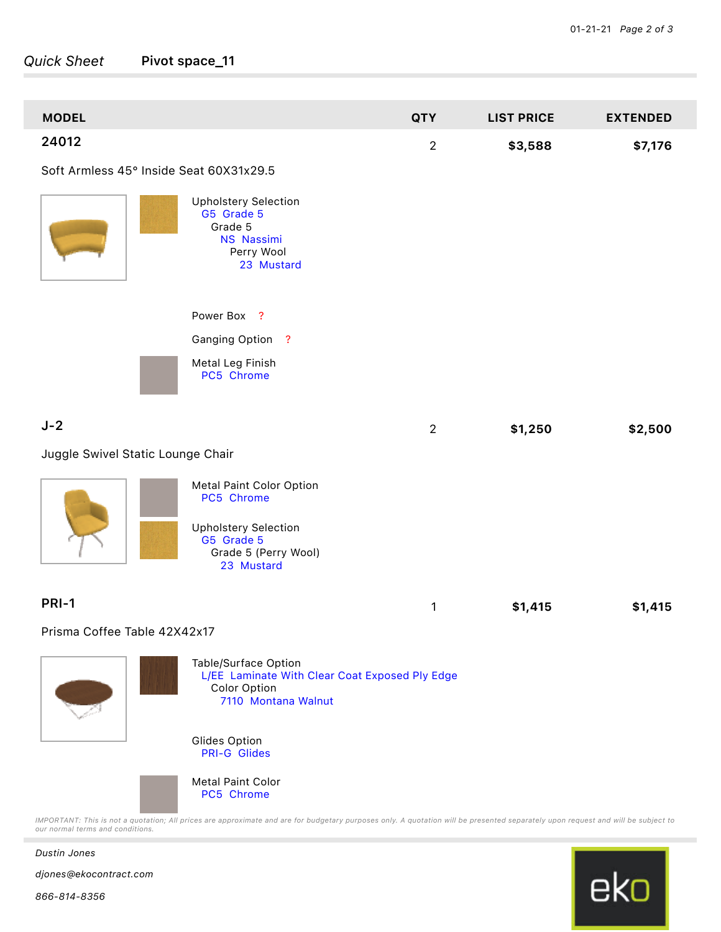## *Quick Sheet* Pivot space\_11

| <b>MODEL</b>                                            |                                                                                                                           | <b>QTY</b>     | <b>LIST PRICE</b> | <b>EXTENDED</b> |
|---------------------------------------------------------|---------------------------------------------------------------------------------------------------------------------------|----------------|-------------------|-----------------|
| 24012                                                   |                                                                                                                           | $\overline{2}$ | \$3,588           | \$7,176         |
| Soft Armless 45° Inside Seat 60X31x29.5                 |                                                                                                                           |                |                   |                 |
|                                                         | <b>Upholstery Selection</b><br>G5 Grade 5<br>Grade 5<br>NS Nassimi<br>Perry Wool<br>23 Mustard                            |                |                   |                 |
|                                                         | Power Box ?                                                                                                               |                |                   |                 |
|                                                         | Ganging Option ?                                                                                                          |                |                   |                 |
|                                                         | Metal Leg Finish<br>PC5 Chrome                                                                                            |                |                   |                 |
| $J-2$                                                   |                                                                                                                           | $\overline{2}$ | \$1,250           | \$2,500         |
| Juggle Swivel Static Lounge Chair                       |                                                                                                                           |                |                   |                 |
|                                                         | Metal Paint Color Option<br>PC5 Chrome<br><b>Upholstery Selection</b><br>G5 Grade 5<br>Grade 5 (Perry Wool)<br>23 Mustard |                |                   |                 |
| <b>PRI-1</b>                                            |                                                                                                                           |                |                   |                 |
| 1<br>\$1,415<br>\$1,415<br>Prisma Coffee Table 42X42x17 |                                                                                                                           |                |                   |                 |
|                                                         | Table/Surface Option<br>L/EE Laminate With Clear Coat Exposed Ply Edge<br>Color Option<br>7110 Montana Walnut             |                |                   |                 |
|                                                         | Glides Option<br><b>PRI-G Glides</b>                                                                                      |                |                   |                 |
|                                                         | <b>Metal Paint Color</b><br>PC5 Chrome                                                                                    |                |                   |                 |

*IMPORTANT: This is not a quotation; All prices are approximate and are for budgetary purposes only. A quotation will be presented separately upon request and will be subject to our normal terms and conditions.*



*Dustin Jones*

*djones@ekocontract.com*

*866-814-8356*